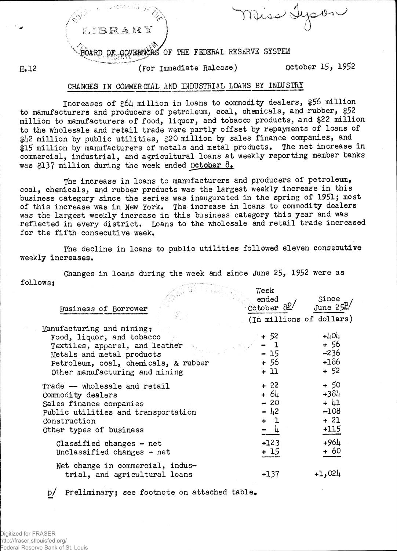IBRARY

Muss &

OARD OF GOVERNORS OF THE FEDERAL RESERVE SYSTEM

 $H_*12$ 

(For Immediate Release)

October 15, 1952

## CHANGES IN COMMERCIAL AND INDUSTRIAL LOANS BY INLUSTRY

Increases of \$64 million in loans to commodity dealers, \$56 million to manufacturers and producers of petroleum, coal, chemicals, and rubber, \$52 million to manufacturers of food, liquor, and tobacco products, and \$22 million to the wholesale and retail trade were partly offset by repayments of loans of \$42 million by public utilities, \$20 million by sales finance companies, and \$15 million by manufacturers of metals and metal products. The net increase in commercial, industrial, and agricultural loans at weekly reporting member banks was \$137 million during the week ended October 8.

The increase in loans to manufacturers and producers of petroleum, coal, chemicals, and rubber products was the largest weekly increase in this business category since the series was inaugurated in the spring of 1951; most of this increase was in New York. The increase in loans to commodity dealers was the largest weekly increase in this business category this year and was reflected in every district. Loans to the wholesale and retail trade increased for the fifth consecutive week.

The decline in loans to public utilities followed eleven consecutive weekly increases.

Changes in loans during the week and since June 25, 1952 were as follows:

|                                                                                                                                                                                                 | week                                              |                                                        |
|-------------------------------------------------------------------------------------------------------------------------------------------------------------------------------------------------|---------------------------------------------------|--------------------------------------------------------|
| Business of Borrower                                                                                                                                                                            | ended<br>October $\frac{\partial P}{\partial P}$  | Since<br>June $25^{\circ}$                             |
|                                                                                                                                                                                                 | (In millions of dollars)                          |                                                        |
| Manufacturing and mining:<br>Food, liquor, and tobacco<br>Textiles, apparel, and leather<br>Metals and metal products<br>Petroleum, coal, chemicals, & rubber<br>Other manufacturing and mining | + 52<br>$-1$<br>$-15$<br>+ 56<br>$+11$            | $+404$<br>+ 56<br>$-236$<br>$+186$<br>$+52$            |
| Trade -- wholesale and retail<br>Commodity dealers<br>Sales finance companies<br>Public utilities and transportation<br>Construction<br>Other types of business                                 | $+22$<br>$+ 64$<br>$-20$<br>$- 42$<br>$+1$<br>- 4 | + 50<br>$+384$<br>$+ 41$<br>$-108$<br>$+ 21$<br>$+115$ |
| Classified changes $-$ net<br>Unclassified changes - net                                                                                                                                        | $+123$<br>+ 15                                    | $+964$<br>$+60$                                        |
| Net change in commercial, indus-<br>trial, and agricultural loans                                                                                                                               | $+137$                                            | $+1,024$                                               |

p/ Preliminary; see footnote on attached table.